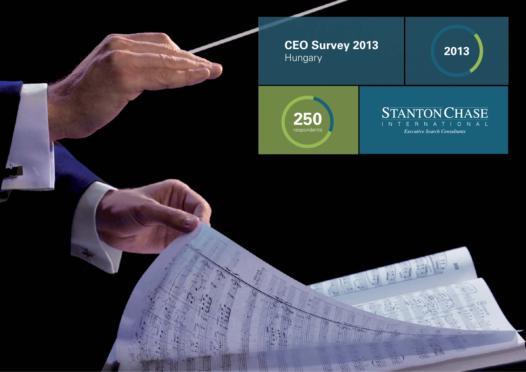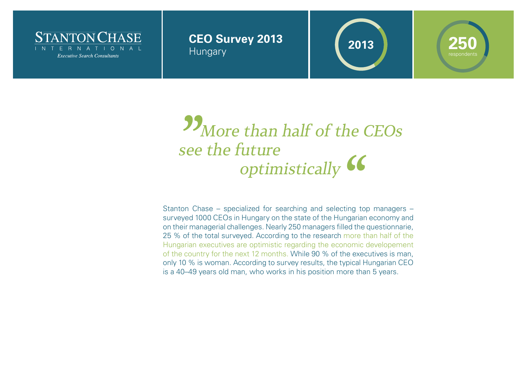

# **CEO Survey 2013** Hungary **<sup>2013</sup> 250**

## **More than half of the CEOs**  see the future optimistically " "

Stanton Chase – specialized for searching and selecting top managers – surveyed 1000 CEOs in Hungary on the state of the Hungarian economy and on their managerial challenges. Nearly 250 managers filled the questionnarie, 25 % of the total surveyed. According to the research more than half of the Hungarian executives are optimistic regarding the economic developement of the country for the next 12 months. While 90 % of the executives is man, only 10 % is woman. According to survey results, the typical Hungarian CEO is a 40–49 years old man, who works in his position more than 5 years.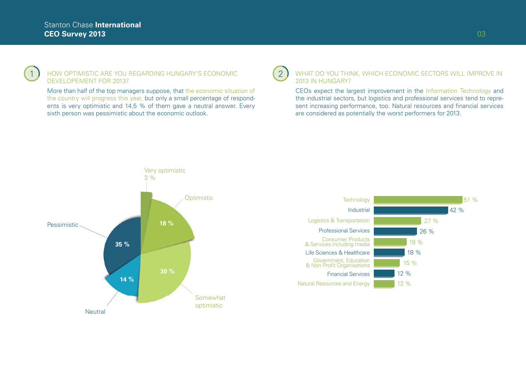### 1 HOW OPTIMISTIC ARE YOU REGARDING HUNGARY'S ECONOMIC (2 DEVELOPEMENT FOR 2013?

More than half of the top managers suppose, that the economic situation of the country will progress this year, but only a small percentage of respondents is very optimistic and 14,5 % of them gave a neutral answer. Every sixth person was pessimistic about the economic outlook.

### WHAT DO YOU THINK, WHICH ECONOMIC SECTORS WILL IMPROVE IN 2013 IN HUNGARY?

CEOs expect the largest improvement in the Information Technology and the industrial sectors, but logistics and professional services tend to represent increasing performance, too. Natural resources and financial services are considered as potentially the worst performers for 2013.



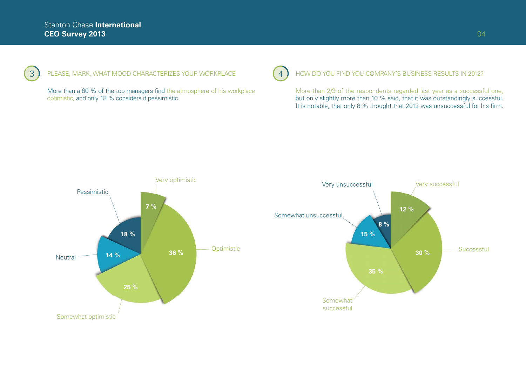### 3 FLEASE, MARK, WHAT MOOD CHARACTERIZES YOUR WORKPLACE

More than a 60 % of the top managers find the atmosphere of his workplace optimistic, and only 18 % considers it pessimistic.

### 4 PHOW DO YOU FIND YOU COMPANY'S BUSINESS RESULTS IN 2012?

More than 2/3 of the respondents regarded last year as a successful one, but only slightly more than 10 % said, that it was outstandingly successful. It is notable, that only 8 % thought that 2012 was unsuccessful for his firm.



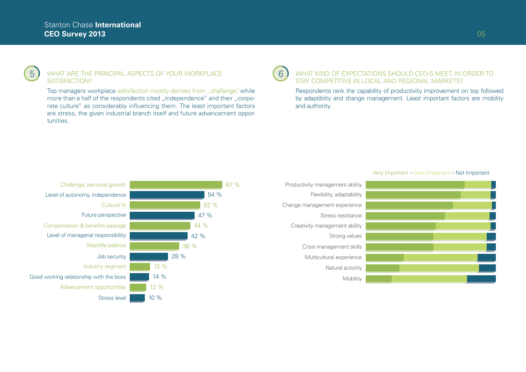#### $5$  ) WHAT ARE THE PRINCIPAL ASPECTS OF YOUR WORKPLACE  $\left( 6\right)$ SATISFACTION?

Top managers workplace satisfaction mostly derives from "challange", while more than a half of the respondents cited "independence" and their "corporate culture" as considerably influencing them. The least important factors are stress, the given industrial branch itself and future advancement opportunities.

### WHAT KIND OF EXPECTATIONS SHOULD CEO-S MEET, IN ORDER TO STAY COMPETITIVE IN LOCAL AND REGIONAL MARKETS?

Respondents rank the capability of productivity improvement on top followed by adaptiblity and change management. Least important factors are mobility and authority.



# Flexibility, adaptability Change management experience Strong values **Mobility** Natural autority Stress resistance Crisis management skills Productivity management ability

#### Very Important – Less Important – Not Important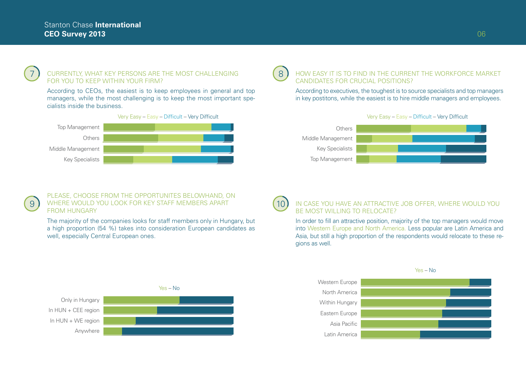### 7) CURRENTLY, WHAT KEY PERSONS ARE THE MOST CHALLENGING (8 FOR YOU TO KEEP WITHIN YOUR FIRM?

According to CEOs, the easiest is to keep employees in general and top managers, while the most challenging is to keep the most important specialists inside the business.



#### HOW EASY IT IS TO FIND IN THE CURRENT THE WORKFORCE MARKET CANDIDATES FOR CRUCIAL POSITIONS?

According to executives, the toughest is to source specialists and top managers in key postitons, while the easiest is to hire middle managers and employees.



### PLEASE, CHOOSE FROM THE OPPORTUNITES BELOWHAND, ON 9 ) WHERE WOULD YOU LOOK FOR KEY STAFF MEMBERS APART (10 FROM HUNGARY

The majority of the companies looks for staff members only in Hungary, but a high proportion (54 %) takes into consideration European candidates as well, especially Central European ones.



#### IN CASE YOU HAVE AN ATTRACTIVE JOB OFFER, WHERE WOULD YOU BE MOST WILLING TO RELOCATE?

In order to fill an attractive position, majority of the top managers would move into Western Europe and North America. Less popular are Latin America and Asia, but still a high proportion of the respondents would relocate to these regions as well.



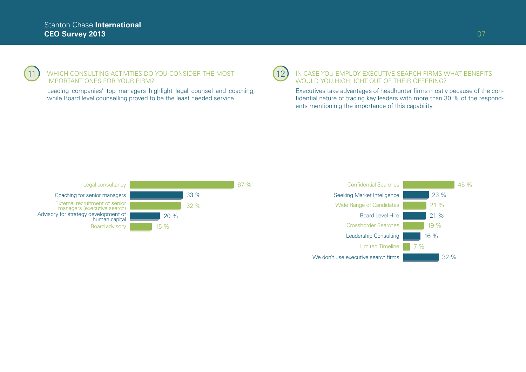

### 11) WHICH CONSULTING ACTIVITIES DO YOU CONSIDER THE MOST (12 IMPORTANT ONES FOR YOUR FIRM?

Leading companies' top managers highlight legal counsel and coaching, while Board level counselling proved to be the least needed service.

### IN CASE YOU EMPLOY EXECUTIVE SEARCH FIRMS WHAT BENEFITS WOULD YOU HIGHLIGHT OUT OF THEIR OFFERING?

Executives take advantages of headhunter firms mostly because of the confidential nature of tracing key leaders with more than 30 % of the respondents mentioninig the importance of this capability.



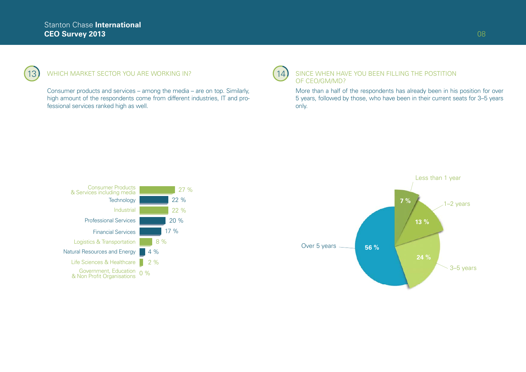### 13) WHICH MARKET SECTOR YOU ARE WORKING IN?

Consumer products and services – among the media – are on top. Similarly, high amount of the respondents come from different industries, IT and professional services ranked high as well.

#### 14) SINCE WHEN HAVE YOU BEEN FILLING THE POSTITION OF CEO/GM/MD?

More than a half of the respondents has already been in his position for over 5 years, followed by those, who have been in their current seats for 3–5 years only.



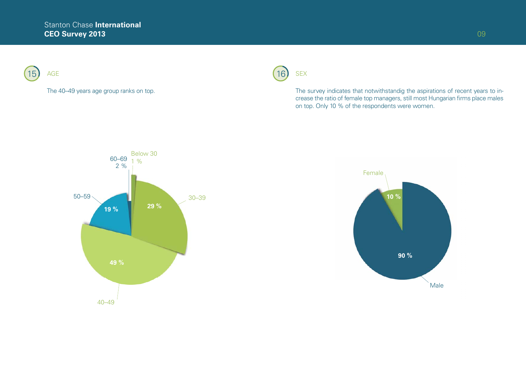

### The 40–49 years age group ranks on top.



The survey indicates that notwithstandig the aspirations of recent years to increase the ratio of female top managers, still most Hungarian firms place males on top. Only 10 % of the respondents were women.